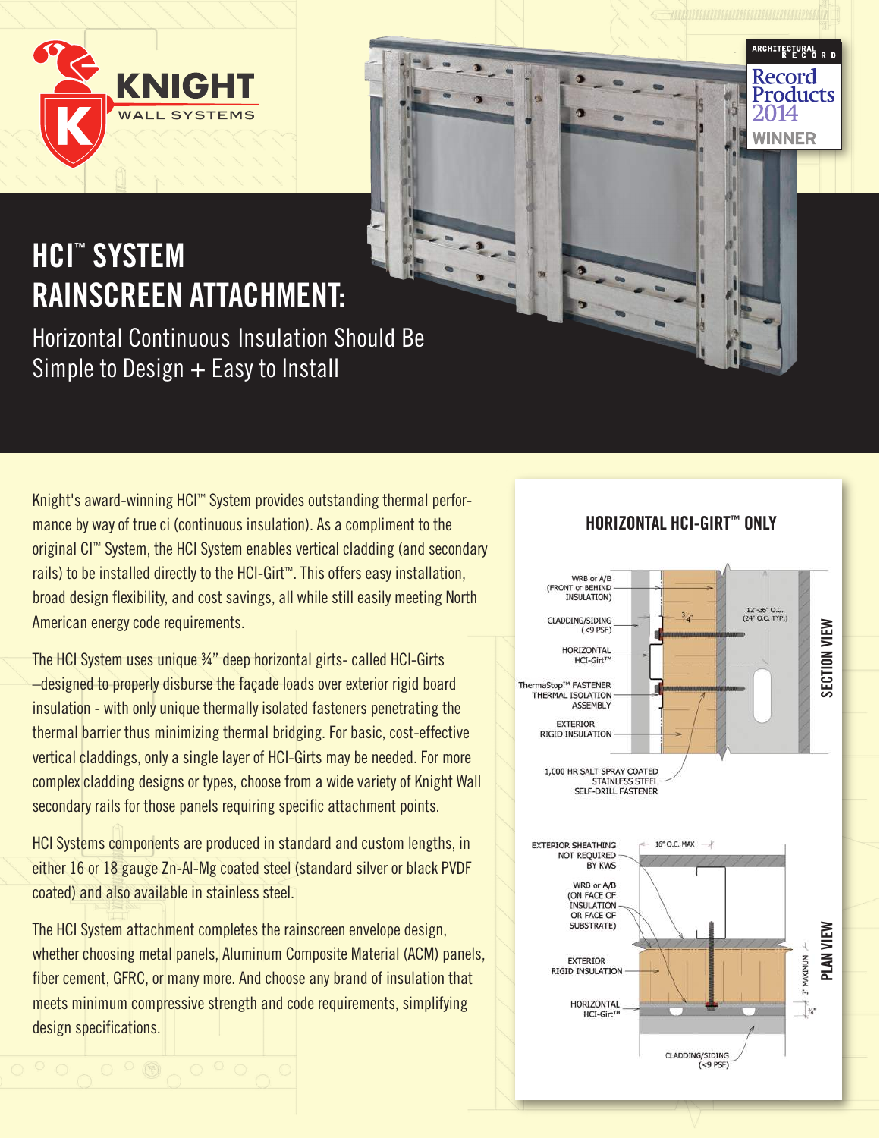

# **HCI™ SYSTEM RAINSCREEN ATTACHMENT:**

Horizontal Continuous Insulation Should Be Simple to Design  $+$  Easy to Install

Knight's award-winning HCI™ System provides outstanding thermal performance by way of true ci (continuous insulation). As a compliment to the original CI™ System, the HCI System enables vertical cladding (and secondary rails) to be installed directly to the HCI-Girt™. This offers easy installation, broad design flexibility, and cost savings, all while still easily meeting North American energy code requirements.

The HCI System uses unique ¾" deep horizontal girts- called HCI-Girts –designed to properly disburse the façade loads over exterior rigid board insulation - with only unique thermally isolated fasteners penetrating the thermal barrier thus minimizing thermal bridging. For basic, cost-effective vertical claddings, only a single layer of HCI-Girts may be needed. For more complex cladding designs or types, choose from a wide variety of Knight Wall secondary rails for those panels requiring specific attachment points.

HCI Systems components are produced in standard and custom lengths, in either 16 or 18 gauge Zn-Al-Mg coated steel (standard silver or black PVDF coated) and also available in stainless steel.

The HCI System attachment completes the rainscreen envelope design, whether choosing metal panels, Aluminum Composite Material (ACM) panels, fiber cement, GFRC, or many more. And choose any brand of insulation that meets minimum compressive strength and code requirements, simplifying design specifications.

### **HORIZONTAL HCI-GIRT™ ONLY**

ARCHITECTURAL<br>Referenti Record Products

**WINNER**